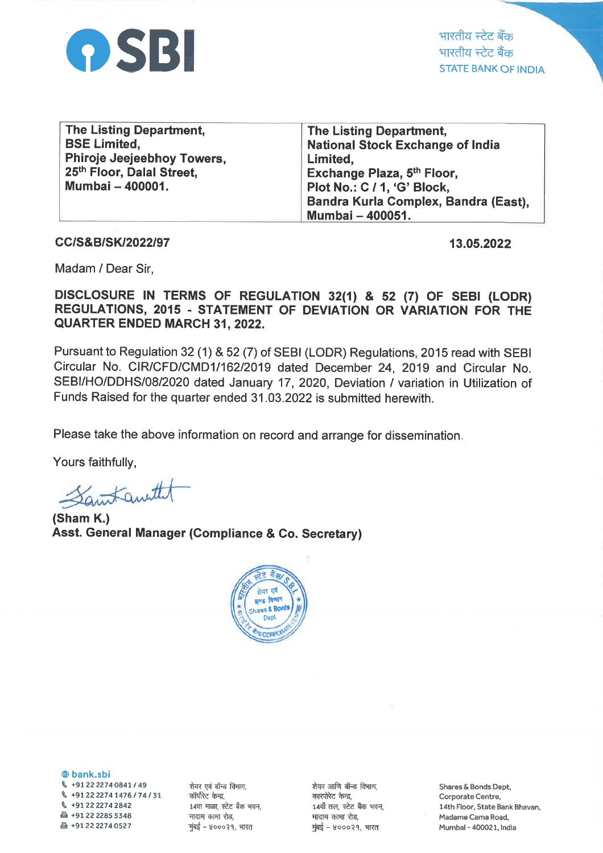

भारतीय स्टेट बँक भारतीय स्टेट बैंक STATE BANK OF INDIA

| <b>The Listing Department,</b> | <b>The Listing Department,</b>          |
|--------------------------------|-----------------------------------------|
| <b>BSE Limited,</b>            | <b>National Stock Exchange of India</b> |
| Phiroje Jeejeebhoy Towers,     | Limited,                                |
| 25th Floor, Dalal Street,      | Exchange Plaza, 5 <sup>th</sup> Floor,  |
| Mumbai - 400001.               | Plot No.: C / 1, 'G' Block,             |
|                                | Bandra Kurla Complex, Bandra (East),    |
|                                | Mumbai - 400051.                        |

CC/S&B/SK/2022/97

13.05.2022

Madam / Dear Sir,

DISCLOSURE IN TERMS OF REGULATION 32(1) & 52 (7) OF SEBI (LODR) REGULATIONS, 2015 - STATEMENT OF DEVIATION OR VARIATION FOR THE QUARTER ENDED MARCH 31,2022.

Pursuant to Regulation 32 (1) & 52 (7) of SEBI (LODR) Regulations, 2015 read with SEBI Circular No. CIR/CFD/CMD1/162/2019 dated December 24, 2019 and Circular No. SEBI/HO/DDHS/08/2020 dated January 17, 2020, Deviation / variation in Utilization of Funds Raised for the quarter ended 31.03.2022 is submitted herewith.

Please take the above information on record and arrange for dissemination

Yours faithfully,

Santanutt

(Sham K.) Asst. General Manager (Compliance & Go. Secretary)



@ bank.sbi  $\%$  +91 22 2274 0841 / 49 \ +912222747476174131  $\frac{6}{912222742842}$ & +91222285s348 & +912222740527

शेयर एवं बॉन्ड विभाग, कॉर्पोरेट केन्द्र, 14वा माळा, स्टेट बँक भवन, मादाम कामा रोड, मुंबई - ४०००२१, भारत

शेयर आणि बॉन्ड विभाग, कारपोरेट केन्द्र, 14वॉं तल, स्टेट बैंक भवन, मादाम कामा रोड,  $\frac{1}{2}$ कई – ४०००२१, भारत

Shares & Bonds Dept, Corporate Centre, 14th Floor, State Bank Bhavan, Madame Cama Road, Mumbal - 400021, India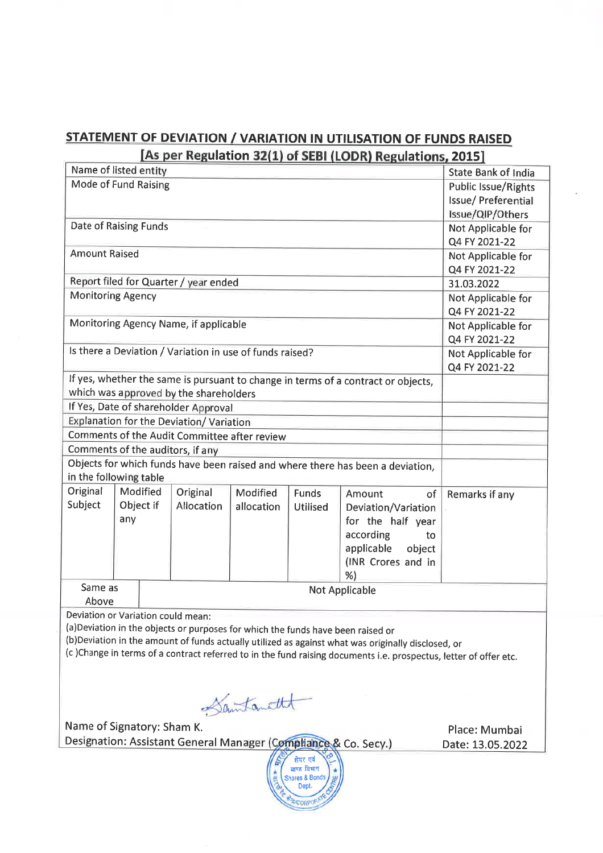## STATEMENT OF DEVIATION / VARIATION IN UTILISATION OF FUNDS RAISED ulation 32(1) of SEBI (LODR) Regulations, 2015

|                                                                                                                  |                                                                                |          |                                                          |            |                 | <b>The permeaber set 1</b> or seprit our inegulations, 2013                       |                     |  |
|------------------------------------------------------------------------------------------------------------------|--------------------------------------------------------------------------------|----------|----------------------------------------------------------|------------|-----------------|-----------------------------------------------------------------------------------|---------------------|--|
|                                                                                                                  | Name of listed entity<br><b>State Bank of India</b>                            |          |                                                          |            |                 |                                                                                   |                     |  |
| Mode of Fund Raising                                                                                             |                                                                                |          |                                                          |            |                 | <b>Public Issue/Rights</b>                                                        |                     |  |
|                                                                                                                  |                                                                                |          |                                                          |            |                 |                                                                                   | Issue/ Preferential |  |
|                                                                                                                  |                                                                                |          |                                                          |            |                 |                                                                                   | Issue/QIP/Others    |  |
| Date of Raising Funds                                                                                            |                                                                                |          |                                                          |            |                 |                                                                                   | Not Applicable for  |  |
|                                                                                                                  |                                                                                |          |                                                          |            |                 |                                                                                   | Q4 FY 2021-22       |  |
| <b>Amount Raised</b>                                                                                             |                                                                                |          |                                                          |            |                 |                                                                                   | Not Applicable for  |  |
|                                                                                                                  |                                                                                |          |                                                          |            |                 |                                                                                   | Q4 FY 2021-22       |  |
|                                                                                                                  |                                                                                |          | Report filed for Quarter / year ended                    |            |                 |                                                                                   | 31.03.2022          |  |
| <b>Monitoring Agency</b>                                                                                         |                                                                                |          |                                                          |            |                 |                                                                                   | Not Applicable for  |  |
|                                                                                                                  |                                                                                |          |                                                          |            |                 |                                                                                   | Q4 FY 2021-22       |  |
|                                                                                                                  |                                                                                |          | Monitoring Agency Name, if applicable                    |            |                 |                                                                                   | Not Applicable for  |  |
|                                                                                                                  |                                                                                |          |                                                          |            |                 |                                                                                   | Q4 FY 2021-22       |  |
|                                                                                                                  |                                                                                |          | Is there a Deviation / Variation in use of funds raised? |            |                 |                                                                                   | Not Applicable for  |  |
|                                                                                                                  |                                                                                |          |                                                          |            |                 |                                                                                   | Q4 FY 2021-22       |  |
|                                                                                                                  |                                                                                |          |                                                          |            |                 | If yes, whether the same is pursuant to change in terms of a contract or objects, |                     |  |
|                                                                                                                  |                                                                                |          | which was approved by the shareholders                   |            |                 |                                                                                   |                     |  |
| If Yes, Date of shareholder Approval                                                                             |                                                                                |          |                                                          |            |                 |                                                                                   |                     |  |
| Explanation for the Deviation/ Variation                                                                         |                                                                                |          |                                                          |            |                 |                                                                                   |                     |  |
| Comments of the Audit Committee after review                                                                     |                                                                                |          |                                                          |            |                 |                                                                                   |                     |  |
| Comments of the auditors, if any                                                                                 |                                                                                |          |                                                          |            |                 |                                                                                   |                     |  |
|                                                                                                                  | Objects for which funds have been raised and where there has been a deviation, |          |                                                          |            |                 |                                                                                   |                     |  |
| in the following table                                                                                           |                                                                                |          |                                                          |            |                 |                                                                                   |                     |  |
| Original                                                                                                         |                                                                                | Modified | Original                                                 | Modified   | Funds           | Amount<br>of                                                                      | Remarks if any      |  |
| Subject                                                                                                          | Object if                                                                      |          | Allocation                                               | allocation | <b>Utilised</b> | Deviation/Variation                                                               |                     |  |
|                                                                                                                  | any                                                                            |          |                                                          |            |                 | for the half year                                                                 |                     |  |
|                                                                                                                  |                                                                                |          |                                                          |            |                 | according<br>to                                                                   |                     |  |
|                                                                                                                  |                                                                                |          |                                                          |            |                 | applicable<br>object                                                              |                     |  |
|                                                                                                                  |                                                                                |          |                                                          |            |                 | (INR Crores and in                                                                |                     |  |
|                                                                                                                  |                                                                                |          |                                                          |            |                 | %)                                                                                |                     |  |
|                                                                                                                  | Same as<br><b>Not Applicable</b>                                               |          |                                                          |            |                 |                                                                                   |                     |  |
|                                                                                                                  | Above                                                                          |          |                                                          |            |                 |                                                                                   |                     |  |
| Deviation or Variation could mean:                                                                               |                                                                                |          |                                                          |            |                 |                                                                                   |                     |  |
| (a) Deviation in the objects or purposes for which the funds have been raised or                                 |                                                                                |          |                                                          |            |                 |                                                                                   |                     |  |
| (b)Deviation in the amount of funds actually utilized as against what was originally disclosed, or               |                                                                                |          |                                                          |            |                 |                                                                                   |                     |  |
| (c)Change in terms of a contract referred to in the fund raising documents i.e. prospectus, letter of offer etc. |                                                                                |          |                                                          |            |                 |                                                                                   |                     |  |
|                                                                                                                  |                                                                                |          |                                                          |            |                 |                                                                                   |                     |  |
|                                                                                                                  |                                                                                |          |                                                          |            |                 |                                                                                   |                     |  |

Santanethe

Designation: Assistant General Manager (Compliance & Co. Se Name of Signatory: Sham K.

Place: Mumbai Date: L3.05.2022

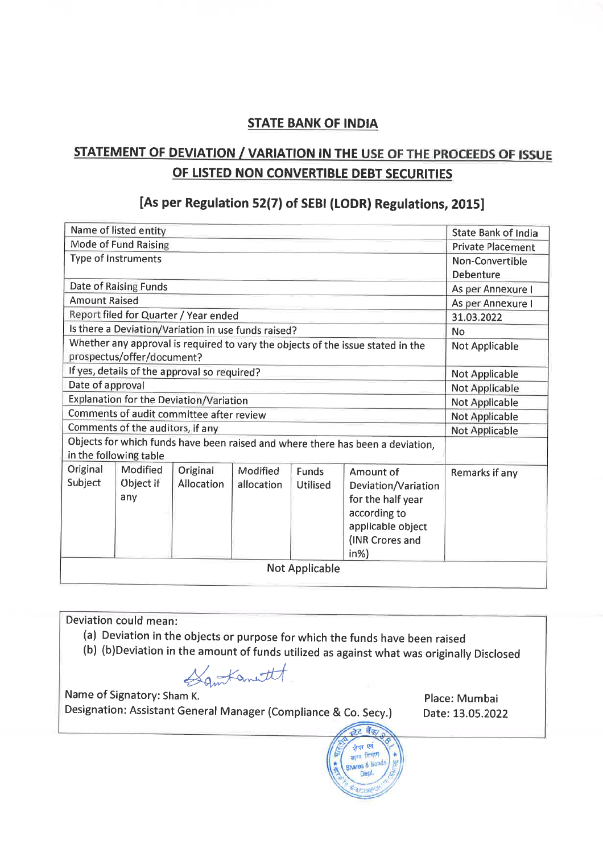#### STATE BANK OF INDIA

## STATEMENT OF DEVIATION / V ARIATION IN THE USE OF THE PROCEEDS OF ISSUE OF LISTED NON CONVERTIBLE DEBT SECURITIES

### [As per Regulation 52(7) of SEBI (LODR) Regulations, 2015]

| Name of listed entity                                                                                         |                   |                   |            |                 |                          | <b>State Bank of India</b> |
|---------------------------------------------------------------------------------------------------------------|-------------------|-------------------|------------|-----------------|--------------------------|----------------------------|
| Mode of Fund Raising                                                                                          |                   |                   |            |                 | <b>Private Placement</b> |                            |
| <b>Type of Instruments</b>                                                                                    |                   |                   |            |                 | Non-Convertible          |                            |
|                                                                                                               |                   |                   |            |                 |                          | Debenture                  |
| Date of Raising Funds                                                                                         | As per Annexure I |                   |            |                 |                          |                            |
| <b>Amount Raised</b>                                                                                          |                   |                   |            |                 |                          | As per Annexure I          |
| Report filed for Quarter / Year ended                                                                         |                   |                   |            |                 |                          | 31.03.2022                 |
| Is there a Deviation/Variation in use funds raised?                                                           |                   |                   |            |                 |                          | <b>No</b>                  |
| Whether any approval is required to vary the objects of the issue stated in the<br>prospectus/offer/document? |                   |                   |            |                 |                          | <b>Not Applicable</b>      |
| If yes, details of the approval so required?                                                                  |                   |                   |            |                 |                          | <b>Not Applicable</b>      |
| Date of approval                                                                                              |                   |                   |            |                 |                          | Not Applicable             |
| Explanation for the Deviation/Variation                                                                       |                   |                   |            |                 |                          | Not Applicable             |
| Comments of audit committee after review                                                                      |                   |                   |            |                 |                          | <b>Not Applicable</b>      |
| Comments of the auditors, if any                                                                              |                   |                   |            |                 |                          | Not Applicable             |
| Objects for which funds have been raised and where there has been a deviation,<br>in the following table      |                   |                   |            |                 |                          |                            |
| Original                                                                                                      | Modified          | Original          | Modified   | <b>Funds</b>    | Amount of                | Remarks if any             |
| Subject                                                                                                       | Object if         | <b>Allocation</b> | allocation | <b>Utilised</b> | Deviation/Variation      |                            |
|                                                                                                               | any               |                   |            |                 | for the half year        |                            |
|                                                                                                               |                   |                   |            |                 | according to             |                            |
|                                                                                                               |                   |                   |            |                 | applicable object        |                            |
|                                                                                                               |                   |                   |            |                 | (INR Crores and          |                            |
|                                                                                                               |                   |                   |            |                 | $in\%$ )                 |                            |
| <b>Not Applicable</b>                                                                                         |                   |                   |            |                 |                          |                            |

Deviation could mean:

- (a) Deviation in the objects or purpose for which the funds have been raised
- (b) (b)Deviation in the amount of funds utilized as against what was originally Disclosed<br>(b) (b)Deviation in the amount of funds utilized as against what was originally Disclosed

Name of Signatory: Sham K. Designation: Assistant General Manager (compliance & co. secy.)

Place: Mumbai Date: 13.05.2022